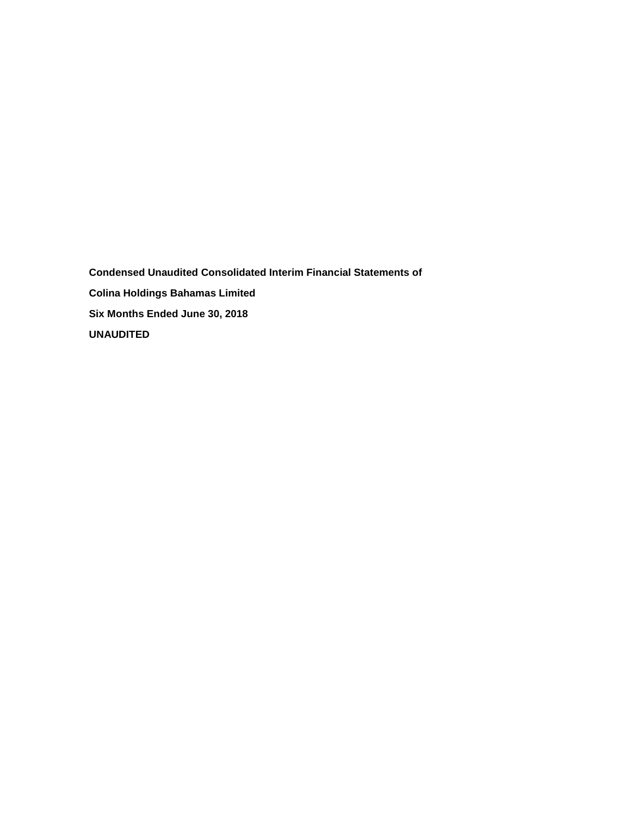**Condensed Unaudited Consolidated Interim Financial Statements of Colina Holdings Bahamas Limited Six Months Ended June 30, 2018 UNAUDITED**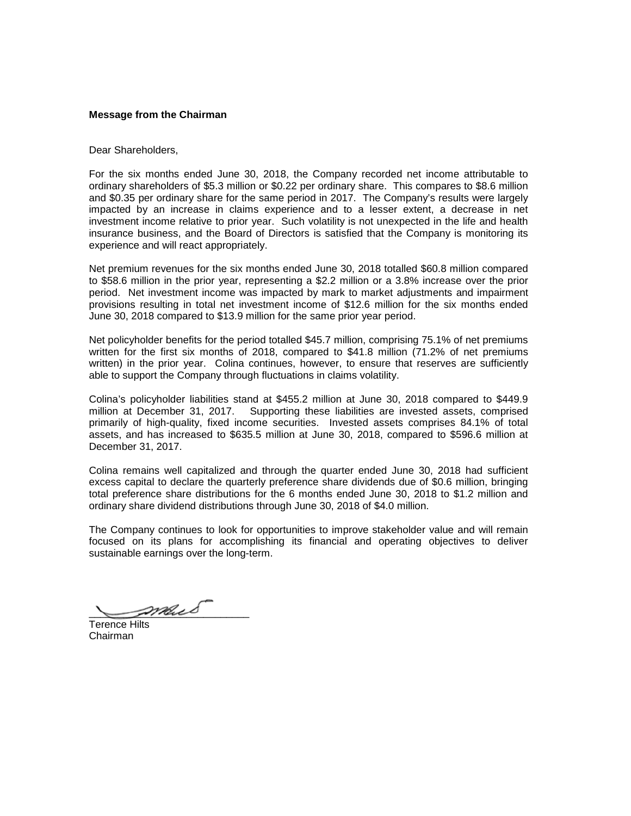## **Message from the Chairman**

#### Dear Shareholders,

For the six months ended June 30, 2018, the Company recorded net income attributable to ordinary shareholders of \$5.3 million or \$0.22 per ordinary share. This compares to \$8.6 million and \$0.35 per ordinary share for the same period in 2017. The Company's results were largely impacted by an increase in claims experience and to a lesser extent, a decrease in net investment income relative to prior year. Such volatility is not unexpected in the life and health insurance business, and the Board of Directors is satisfied that the Company is monitoring its experience and will react appropriately.

Net premium revenues for the six months ended June 30, 2018 totalled \$60.8 million compared to \$58.6 million in the prior year, representing a \$2.2 million or a 3.8% increase over the prior period. Net investment income was impacted by mark to market adjustments and impairment provisions resulting in total net investment income of \$12.6 million for the six months ended June 30, 2018 compared to \$13.9 million for the same prior year period.

Net policyholder benefits for the period totalled \$45.7 million, comprising 75.1% of net premiums written for the first six months of 2018, compared to \$41.8 million (71.2% of net premiums written) in the prior year. Colina continues, however, to ensure that reserves are sufficiently able to support the Company through fluctuations in claims volatility.

Colina's policyholder liabilities stand at \$455.2 million at June 30, 2018 compared to \$449.9 million at December 31, 2017. Supporting these liabilities are invested assets, comprised primarily of high-quality, fixed income securities. Invested assets comprises 84.1% of total assets, and has increased to \$635.5 million at June 30, 2018, compared to \$596.6 million at December 31, 2017.

Colina remains well capitalized and through the quarter ended June 30, 2018 had sufficient excess capital to declare the quarterly preference share dividends due of \$0.6 million, bringing total preference share distributions for the 6 months ended June 30, 2018 to \$1.2 million and ordinary share dividend distributions through June 30, 2018 of \$4.0 million.

The Company continues to look for opportunities to improve stakeholder value and will remain focused on its plans for accomplishing its financial and operating objectives to deliver sustainable earnings over the long-term.

\_\_\_\_\_\_\_\_\_\_\_\_\_\_\_\_\_\_\_\_\_\_\_\_\_\_\_\_

Terence Hilts Chairman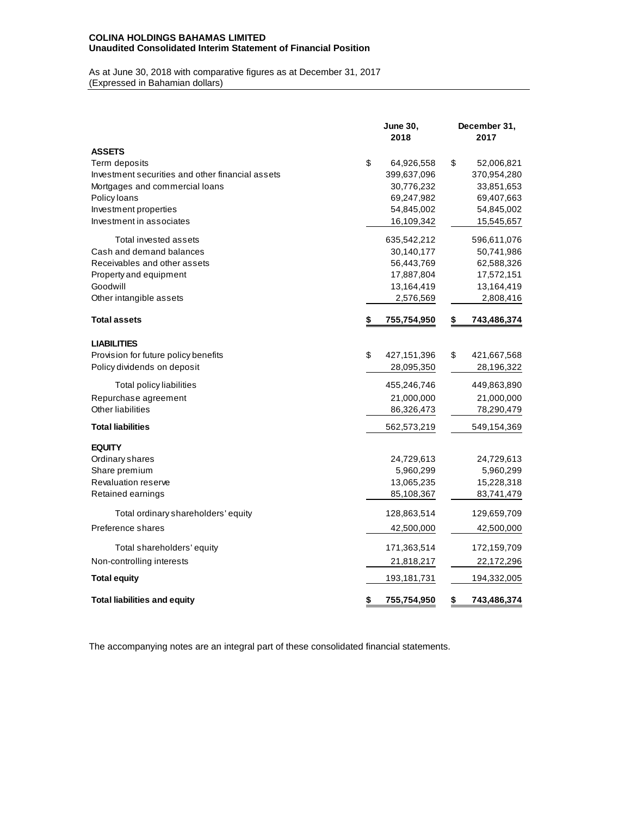## **COLINA HOLDINGS BAHAMAS LIMITED Unaudited Consolidated Interim Statement of Financial Position**

As at June 30, 2018 with comparative figures as at December 31, 2017 (Expressed in Bahamian dollars)

|                                                  | <b>June 30,</b><br>2018 | December 31,<br>2017 |             |  |  |  |
|--------------------------------------------------|-------------------------|----------------------|-------------|--|--|--|
| <b>ASSETS</b>                                    |                         |                      |             |  |  |  |
| Term deposits                                    | \$<br>64,926,558        | \$                   | 52,006,821  |  |  |  |
| Investment securities and other financial assets | 399,637,096             |                      | 370,954,280 |  |  |  |
| Mortgages and commercial loans                   | 30,776,232              |                      | 33,851,653  |  |  |  |
| Policy loans                                     | 69,247,982              |                      | 69,407,663  |  |  |  |
| Investment properties                            | 54,845,002              |                      | 54,845,002  |  |  |  |
| Investment in associates                         | 16,109,342              |                      | 15,545,657  |  |  |  |
| Total invested assets                            | 635,542,212             |                      | 596,611,076 |  |  |  |
| Cash and demand balances                         | 30,140,177              |                      | 50,741,986  |  |  |  |
| Receivables and other assets                     | 56,443,769              |                      | 62,588,326  |  |  |  |
| Property and equipment                           | 17,887,804              |                      | 17,572,151  |  |  |  |
| Goodwill                                         | 13,164,419              |                      | 13,164,419  |  |  |  |
| Other intangible assets                          | 2,576,569               |                      | 2,808,416   |  |  |  |
| <b>Total assets</b>                              | \$<br>755,754,950       | \$                   | 743,486,374 |  |  |  |
| <b>LIABILITIES</b>                               |                         |                      |             |  |  |  |
| Provision for future policy benefits             | \$<br>427,151,396       | \$                   | 421,667,568 |  |  |  |
| Policy dividends on deposit                      | 28,095,350              |                      | 28,196,322  |  |  |  |
| Total policy liabilities                         | 455,246,746             |                      | 449,863,890 |  |  |  |
| Repurchase agreement                             | 21,000,000              |                      | 21,000,000  |  |  |  |
| Other liabilities                                | 86,326,473              |                      | 78,290,479  |  |  |  |
| <b>Total liabilities</b>                         | 562,573,219             |                      | 549,154,369 |  |  |  |
| <b>EQUITY</b>                                    |                         |                      |             |  |  |  |
| Ordinary shares                                  | 24,729,613              |                      | 24,729,613  |  |  |  |
| Share premium                                    | 5,960,299               |                      | 5,960,299   |  |  |  |
| Revaluation reserve                              | 13,065,235              |                      | 15,228,318  |  |  |  |
| Retained earnings                                | 85,108,367              |                      | 83,741,479  |  |  |  |
| Total ordinary shareholders' equity              | 128,863,514             |                      | 129,659,709 |  |  |  |
| Preference shares                                | 42,500,000              |                      | 42,500,000  |  |  |  |
| Total shareholders' equity                       | 171,363,514             |                      | 172,159,709 |  |  |  |
| Non-controlling interests                        | 21,818,217              |                      | 22,172,296  |  |  |  |
| <b>Total equity</b>                              | 193,181,731             |                      | 194,332,005 |  |  |  |
| <b>Total liabilities and equity</b>              | \$<br>755,754,950       | \$                   | 743,486,374 |  |  |  |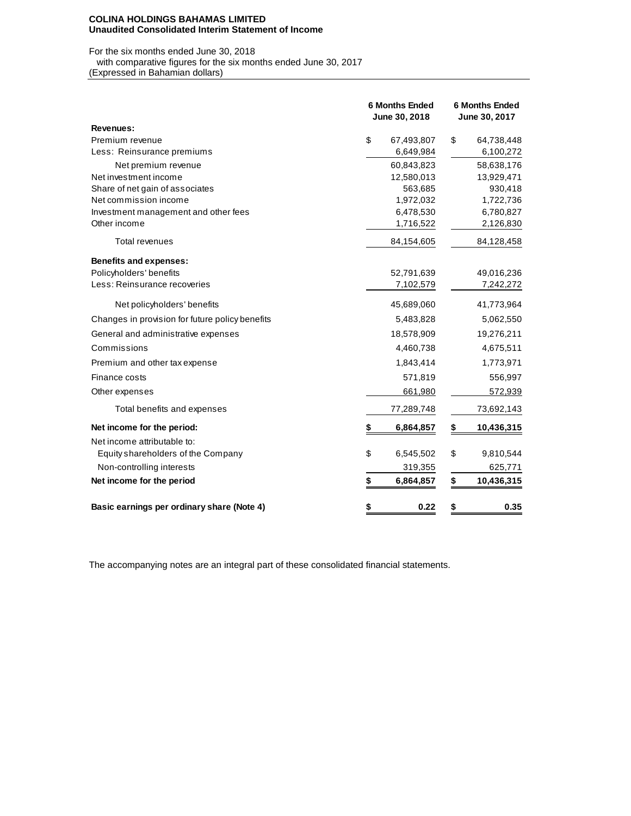#### **COLINA HOLDINGS BAHAMAS LIMITED Unaudited Consolidated Interim Statement of Income**

# For the six months ended June 30, 2018 with comparative figures for the six months ended June 30, 2017

(Expressed in Bahamian dollars)

|                                                 | <b>6 Months Ended</b><br>June 30, 2018 |            | <b>6 Months Ended</b><br>June 30, 2017 |            |  |  |
|-------------------------------------------------|----------------------------------------|------------|----------------------------------------|------------|--|--|
| Revenues:                                       |                                        |            |                                        |            |  |  |
| Premium revenue                                 | \$                                     | 67,493,807 | \$                                     | 64,738,448 |  |  |
| Less: Reinsurance premiums                      |                                        | 6,649,984  |                                        | 6,100,272  |  |  |
| Net premium revenue                             |                                        | 60,843,823 |                                        | 58,638,176 |  |  |
| Net investment income                           |                                        | 12,580,013 |                                        | 13,929,471 |  |  |
| Share of net gain of associates                 |                                        | 563,685    |                                        | 930,418    |  |  |
| Net commission income                           |                                        | 1,972,032  |                                        | 1,722,736  |  |  |
| Investment management and other fees            |                                        | 6,478,530  |                                        | 6,780,827  |  |  |
| Other income                                    |                                        | 1,716,522  |                                        | 2,126,830  |  |  |
| <b>Total revenues</b>                           |                                        | 84,154,605 |                                        | 84,128,458 |  |  |
| <b>Benefits and expenses:</b>                   |                                        |            |                                        |            |  |  |
| Policyholders' benefits                         |                                        | 52,791,639 |                                        | 49,016,236 |  |  |
| Less: Reinsurance recoveries                    |                                        | 7,102,579  |                                        | 7,242,272  |  |  |
| Net policyholders' benefits                     |                                        | 45,689,060 |                                        | 41,773,964 |  |  |
| Changes in provision for future policy benefits |                                        | 5,483,828  |                                        | 5,062,550  |  |  |
| General and administrative expenses             |                                        | 18,578,909 |                                        | 19,276,211 |  |  |
| Commissions                                     |                                        | 4,460,738  |                                        | 4,675,511  |  |  |
| Premium and other tax expense                   |                                        | 1,843,414  |                                        | 1,773,971  |  |  |
| Finance costs                                   |                                        | 571,819    |                                        | 556,997    |  |  |
| Other expenses                                  |                                        | 661,980    |                                        | 572,939    |  |  |
| Total benefits and expenses                     |                                        | 77,289,748 |                                        | 73,692,143 |  |  |
| Net income for the period:                      | \$                                     | 6,864,857  | \$                                     | 10,436,315 |  |  |
| Net income attributable to:                     |                                        |            |                                        |            |  |  |
| Equity shareholders of the Company              | \$                                     | 6,545,502  | \$                                     | 9,810,544  |  |  |
| Non-controlling interests                       |                                        | 319,355    |                                        | 625,771    |  |  |
| Net income for the period                       | \$                                     | 6,864,857  | \$                                     | 10,436,315 |  |  |
| Basic earnings per ordinary share (Note 4)      | \$                                     | 0.22       | \$                                     | 0.35       |  |  |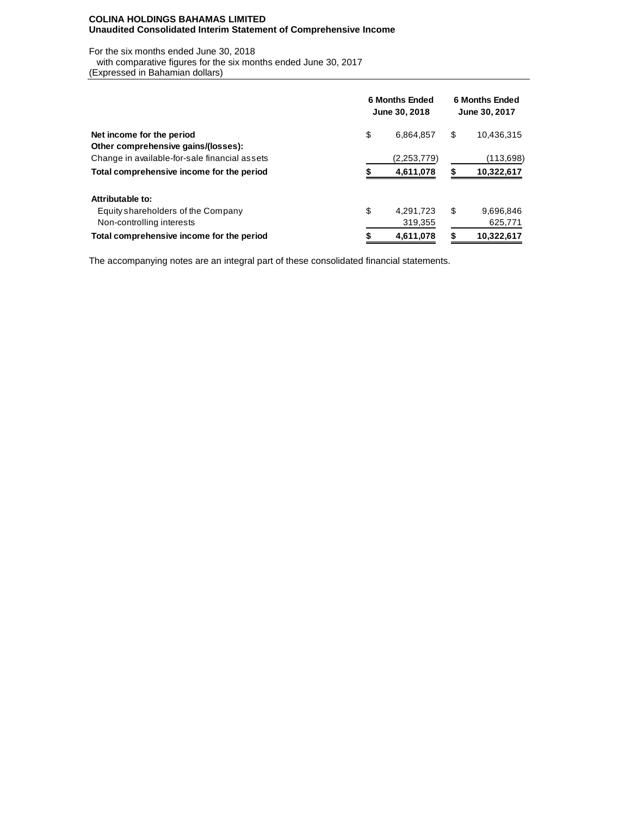## **COLINA HOLDINGS BAHAMAS LIMITED Unaudited Consolidated Interim Statement of Comprehensive Income**

For the six months ended June 30, 2018

with comparative figures for the six months ended June 30, 2017

(Expressed in Bahamian dollars)

|                                               | <b>6 Months Ended</b><br>June 30, 2018 |             |    | <b>6 Months Ended</b><br>June 30, 2017 |  |  |  |
|-----------------------------------------------|----------------------------------------|-------------|----|----------------------------------------|--|--|--|
| Net income for the period                     | \$                                     | 6,864,857   | \$ | 10,436,315                             |  |  |  |
| Other comprehensive gains/(losses):           |                                        |             |    |                                        |  |  |  |
| Change in available-for-sale financial assets |                                        | (2,253,779) |    | (113,698)                              |  |  |  |
| Total comprehensive income for the period     |                                        | 4,611,078   |    | 10,322,617                             |  |  |  |
| Attributable to:                              |                                        |             |    |                                        |  |  |  |
| Equity shareholders of the Company            | \$                                     | 4.291.723   | \$ | 9,696,846                              |  |  |  |
| Non-controlling interests                     |                                        | 319,355     |    | 625,771                                |  |  |  |
| Total comprehensive income for the period     |                                        | 4,611,078   |    | 10,322,617                             |  |  |  |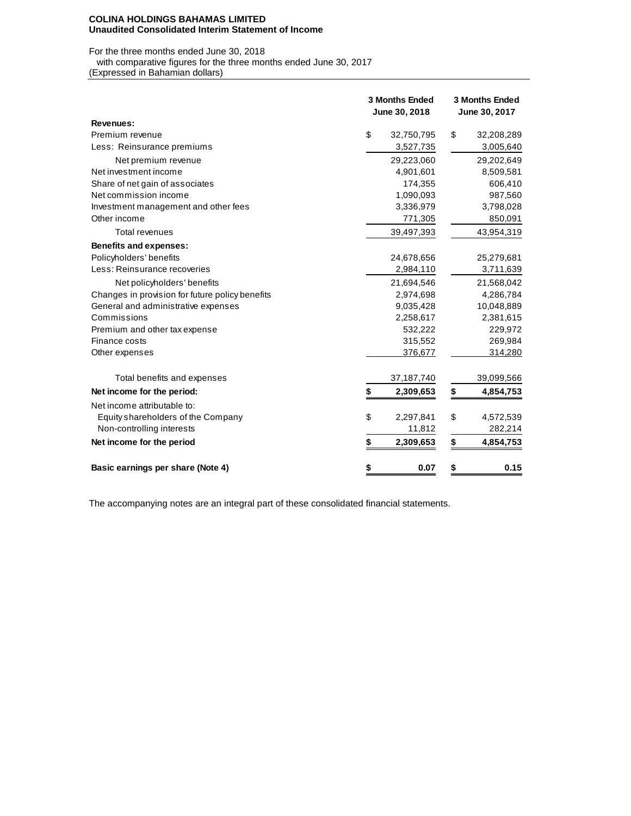#### **COLINA HOLDINGS BAHAMAS LIMITED Unaudited Consolidated Interim Statement of Income**

For the three months ended June 30, 2018

with comparative figures for the three months ended June 30, 2017

(Expressed in Bahamian dollars)

|                                                 | <b>3 Months Ended</b><br>June 30, 2018 |              | <b>3 Months Ended</b><br>June 30, 2017 |            |  |  |
|-------------------------------------------------|----------------------------------------|--------------|----------------------------------------|------------|--|--|
| Revenues:                                       |                                        |              |                                        |            |  |  |
| Premium revenue                                 | \$                                     | 32,750,795   | \$                                     | 32,208,289 |  |  |
| Less: Reinsurance premiums                      |                                        | 3,527,735    |                                        | 3,005,640  |  |  |
| Net premium revenue                             |                                        | 29,223,060   |                                        | 29,202,649 |  |  |
| Net investment income                           |                                        | 4,901,601    |                                        | 8,509,581  |  |  |
| Share of net gain of associates                 |                                        | 174,355      |                                        | 606,410    |  |  |
| Net commission income                           |                                        | 1,090,093    |                                        | 987,560    |  |  |
| Investment management and other fees            |                                        | 3,336,979    |                                        | 3,798,028  |  |  |
| Other income                                    |                                        | 771,305      |                                        | 850,091    |  |  |
| <b>Total revenues</b>                           |                                        | 39,497,393   |                                        | 43,954,319 |  |  |
| <b>Benefits and expenses:</b>                   |                                        |              |                                        |            |  |  |
| Policyholders' benefits                         |                                        | 24,678,656   |                                        | 25,279,681 |  |  |
| Less: Reinsurance recoveries                    |                                        | 2,984,110    |                                        | 3,711,639  |  |  |
| Net policyholders' benefits                     |                                        | 21,694,546   |                                        | 21,568,042 |  |  |
| Changes in provision for future policy benefits |                                        | 2,974,698    |                                        | 4,286,784  |  |  |
| General and administrative expenses             |                                        | 9,035,428    |                                        | 10,048,889 |  |  |
| Commissions                                     |                                        | 2,258,617    |                                        | 2,381,615  |  |  |
| Premium and other tax expense                   |                                        | 532,222      |                                        | 229,972    |  |  |
| Finance costs                                   |                                        | 315,552      |                                        | 269,984    |  |  |
| Other expenses                                  |                                        | 376,677      |                                        | 314,280    |  |  |
| Total benefits and expenses                     |                                        | 37, 187, 740 |                                        | 39,099,566 |  |  |
| Net income for the period:                      | \$                                     | 2,309,653    | \$                                     | 4,854,753  |  |  |
| Net income attributable to:                     |                                        |              |                                        |            |  |  |
| Equity shareholders of the Company              | \$                                     | 2,297,841    | \$                                     | 4,572,539  |  |  |
| Non-controlling interests                       |                                        | 11,812       |                                        | 282,214    |  |  |
| Net income for the period                       | \$                                     | 2,309,653    | \$                                     | 4,854,753  |  |  |
| Basic earnings per share (Note 4)               | \$                                     | 0.07         | \$                                     | 0.15       |  |  |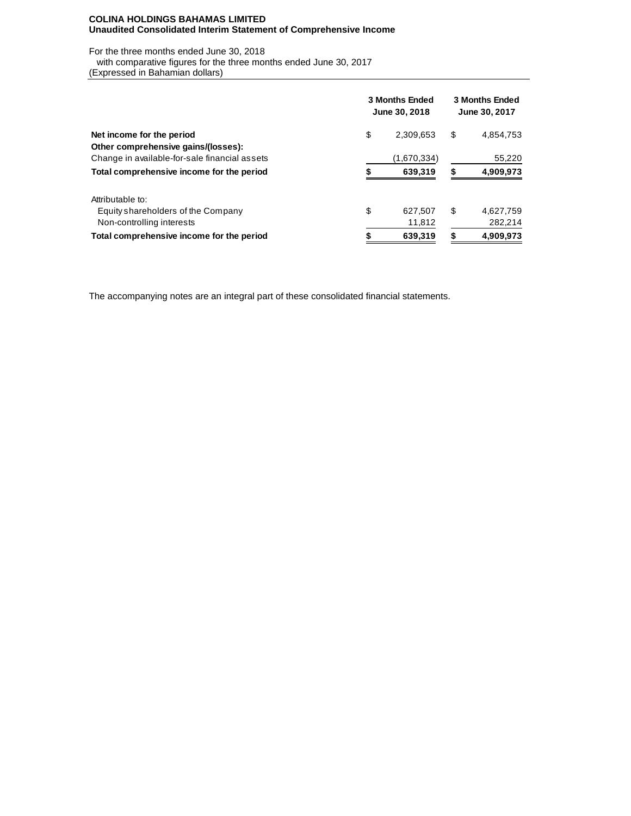## **COLINA HOLDINGS BAHAMAS LIMITED Unaudited Consolidated Interim Statement of Comprehensive Income**

For the three months ended June 30, 2018

with comparative figures for the three months ended June 30, 2017

(Expressed in Bahamian dollars)

|                                               | 3 Months Ended<br>June 30, 2018 | <b>3 Months Ended</b><br>June 30, 2017 |    |           |  |
|-----------------------------------------------|---------------------------------|----------------------------------------|----|-----------|--|
| Net income for the period                     | \$                              | 2,309,653                              | \$ | 4,854,753 |  |
| Other comprehensive gains/(losses):           |                                 |                                        |    |           |  |
| Change in available-for-sale financial assets |                                 | (1,670,334)                            |    | 55,220    |  |
| Total comprehensive income for the period     |                                 | 639,319                                |    | 4,909,973 |  |
| Attributable to:                              |                                 |                                        |    |           |  |
| Equity shareholders of the Company            | \$                              | 627.507                                | S  | 4,627,759 |  |
| Non-controlling interests                     |                                 | 11,812                                 |    | 282,214   |  |
| Total comprehensive income for the period     |                                 | 639,319                                |    | 4,909,973 |  |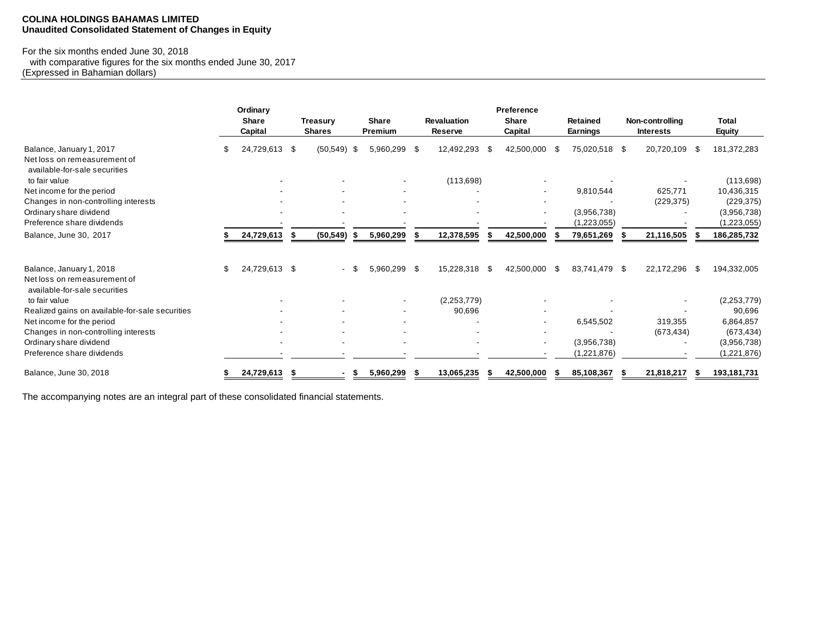## **COLINA HOLDINGS BAHAMAS LIMITED Unaudited Consolidated Statement of Changes in Equity**

## For the six months ended June 30, 2018

 with comparative figures for the six months ended June 30, 2017 (Expressed in Bahamian dollars)

|                                                                                           | Ordinary<br><b>Share</b><br>Capital |    | <b>Treasurv</b><br><b>Shares</b> |     | <b>Share</b><br>Premium | <b>Revaluation</b><br>Reserve |    | Preference<br><b>Share</b><br>Capital |      | <b>Retained</b><br><b>Earnings</b> | Non-controlling<br><b>Interests</b> |      | <b>Total</b><br>Equity     |
|-------------------------------------------------------------------------------------------|-------------------------------------|----|----------------------------------|-----|-------------------------|-------------------------------|----|---------------------------------------|------|------------------------------------|-------------------------------------|------|----------------------------|
| Balance, January 1, 2017<br>Net loss on remeasurement of<br>available-for-sale securities | 24,729,613 \$                       |    | (50, 549)                        | -\$ | 5,960,299 \$            | 12,492,293                    | -S | 42,500,000                            | - \$ | 75,020,518 \$                      | 20,720,109                          | - \$ | 181,372,283                |
| to fair value                                                                             |                                     |    |                                  |     |                         | (113, 698)                    |    |                                       |      |                                    |                                     |      | (113, 698)                 |
| Net income for the period                                                                 |                                     |    |                                  |     |                         |                               |    |                                       |      | 9,810,544                          | 625,771                             |      | 10,436,315                 |
| Changes in non-controlling interests                                                      |                                     |    |                                  |     |                         |                               |    |                                       |      |                                    | (229, 375)                          |      | (229, 375)                 |
| Ordinary share dividend<br>Preference share dividends                                     |                                     |    |                                  |     |                         |                               |    |                                       |      | (3,956,738)<br>(1,223,055)         |                                     |      | (3,956,738)<br>(1,223,055) |
| Balance, June 30, 2017                                                                    | 24,729,613                          | S. | (50, 549)                        | - 5 | 5,960,299               | 12,378,595                    |    | 42,500,000                            |      | 79,651,269                         | 21,116,505                          |      | 186,285,732                |
| Balance, January 1, 2018<br>Net loss on remeasurement of                                  | \$<br>24,729,613 \$                 |    |                                  |     | 5,960,299 \$            | 15,228,318                    | \$ | 42,500,000                            | -S   | 83,741,479 \$                      | 22,172,296                          | -\$  | 194,332,005                |
| available-for-sale securities<br>to fair value                                            |                                     |    |                                  |     |                         | (2,253,779)                   |    |                                       |      |                                    |                                     |      | (2,253,779)                |
| Realized gains on available-for-sale securities                                           |                                     |    |                                  |     |                         | 90,696                        |    |                                       |      |                                    |                                     |      | 90,696                     |
| Net income for the period                                                                 |                                     |    |                                  |     |                         |                               |    |                                       |      | 6,545,502                          | 319,355                             |      | 6,864,857                  |
| Changes in non-controlling interests                                                      |                                     |    |                                  |     |                         |                               |    |                                       |      |                                    | (673, 434)                          |      | (673, 434)                 |
| Ordinary share dividend                                                                   |                                     |    |                                  |     |                         |                               |    |                                       |      | (3,956,738)                        |                                     |      | (3,956,738)                |
| Preference share dividends                                                                |                                     |    |                                  |     |                         |                               |    |                                       |      | (1,221,876)                        |                                     |      | (1,221,876)                |
| Balance, June 30, 2018                                                                    | 24,729,613                          | S  |                                  |     | 5,960,299               | 13,065,235                    |    | 42,500,000                            |      | 85,108,367                         | 21,818,217                          |      | 193,181,731                |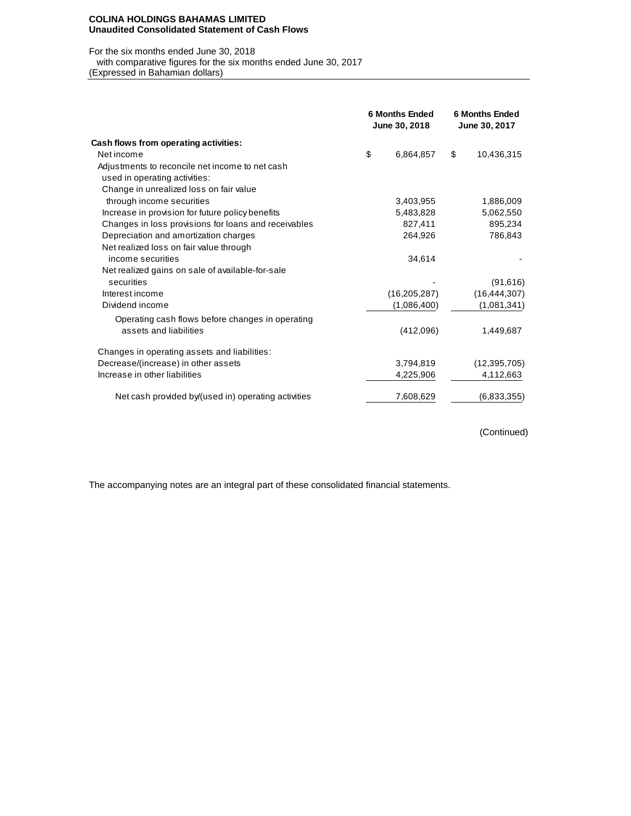#### **COLINA HOLDINGS BAHAMAS LIMITED Unaudited Consolidated Statement of Cash Flows**

#### For the six months ended June 30, 2018

with comparative figures for the six months ended June 30, 2017

(Expressed in Bahamian dollars)

|                                                      | <b>6 Months Ended</b><br>June 30, 2018 | <b>6 Months Ended</b><br>June 30, 2017 |                |  |  |
|------------------------------------------------------|----------------------------------------|----------------------------------------|----------------|--|--|
| Cash flows from operating activities:                |                                        |                                        |                |  |  |
| Net income                                           | \$<br>6,864,857                        | \$                                     | 10,436,315     |  |  |
| Adjustments to reconcile net income to net cash      |                                        |                                        |                |  |  |
| used in operating activities:                        |                                        |                                        |                |  |  |
| Change in unrealized loss on fair value              |                                        |                                        |                |  |  |
| through income securities                            | 3,403,955                              |                                        | 1,886,009      |  |  |
| Increase in provision for future policy benefits     | 5,483,828                              |                                        | 5,062,550      |  |  |
| Changes in loss provisions for loans and receivables | 827,411                                |                                        | 895,234        |  |  |
| Depreciation and amortization charges                | 264,926                                |                                        | 786,843        |  |  |
| Net realized loss on fair value through              |                                        |                                        |                |  |  |
| income securities                                    | 34,614                                 |                                        |                |  |  |
| Net realized gains on sale of available-for-sale     |                                        |                                        |                |  |  |
| securities                                           |                                        |                                        | (91,616)       |  |  |
| Interest income                                      | (16, 205, 287)                         |                                        | (16, 444, 307) |  |  |
| Dividend income                                      | (1,086,400)                            |                                        | (1,081,341)    |  |  |
| Operating cash flows before changes in operating     |                                        |                                        |                |  |  |
| assets and liabilities                               | (412,096)                              |                                        | 1,449,687      |  |  |
| Changes in operating assets and liabilities:         |                                        |                                        |                |  |  |
| Decrease/(increase) in other assets                  | 3,794,819                              |                                        | (12, 395, 705) |  |  |
| Increase in other liabilities                        | 4,225,906                              |                                        | 4,112,663      |  |  |
| Net cash provided by/(used in) operating activities  | 7,608,629                              |                                        | (6,833,355)    |  |  |

(Continued)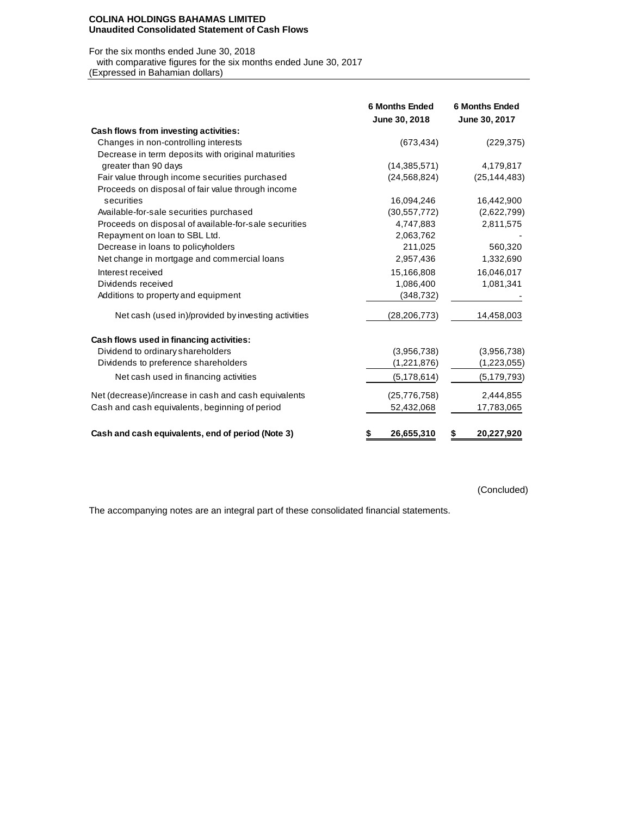#### **COLINA HOLDINGS BAHAMAS LIMITED Unaudited Consolidated Statement of Cash Flows**

#### For the six months ended June 30, 2018

with comparative figures for the six months ended June 30, 2017

(Expressed in Bahamian dollars)

|                                                       | <b>6 Months Ended</b><br>June 30, 2018 | <b>6 Months Ended</b><br>June 30, 2017 |
|-------------------------------------------------------|----------------------------------------|----------------------------------------|
| Cash flows from investing activities:                 |                                        |                                        |
| Changes in non-controlling interests                  | (673, 434)                             | (229, 375)                             |
| Decrease in term deposits with original maturities    |                                        |                                        |
| greater than 90 days                                  | (14, 385, 571)                         | 4,179,817                              |
| Fair value through income securities purchased        | (24, 568, 824)                         | (25, 144, 483)                         |
| Proceeds on disposal of fair value through income     |                                        |                                        |
| securities                                            | 16,094,246                             | 16,442,900                             |
| Available-for-sale securities purchased               | (30, 557, 772)                         | (2,622,799)                            |
| Proceeds on disposal of available-for-sale securities | 4,747,883                              | 2,811,575                              |
| Repayment on loan to SBL Ltd.                         | 2,063,762                              |                                        |
| Decrease in loans to policyholders                    | 211,025                                | 560,320                                |
| Net change in mortgage and commercial loans           | 2,957,436                              | 1,332,690                              |
| Interest received                                     | 15,166,808                             | 16,046,017                             |
| Dividends received                                    | 1,086,400                              | 1,081,341                              |
| Additions to property and equipment                   | (348, 732)                             |                                        |
| Net cash (used in)/provided by investing activities   | (28, 206, 773)                         | 14,458,003                             |
| Cash flows used in financing activities:              |                                        |                                        |
| Dividend to ordinary shareholders                     | (3,956,738)                            | (3,956,738)                            |
| Dividends to preference shareholders                  | (1,221,876)                            | (1,223,055)                            |
| Net cash used in financing activities                 | (5, 178, 614)                          | (5, 179, 793)                          |
| Net (decrease)/increase in cash and cash equivalents  | (25,776,758)                           | 2,444,855                              |
| Cash and cash equivalents, beginning of period        | 52,432,068                             | 17,783,065                             |
| Cash and cash equivalents, end of period (Note 3)     | 26,655,310<br>\$                       | 20,227,920<br>\$                       |

(Concluded)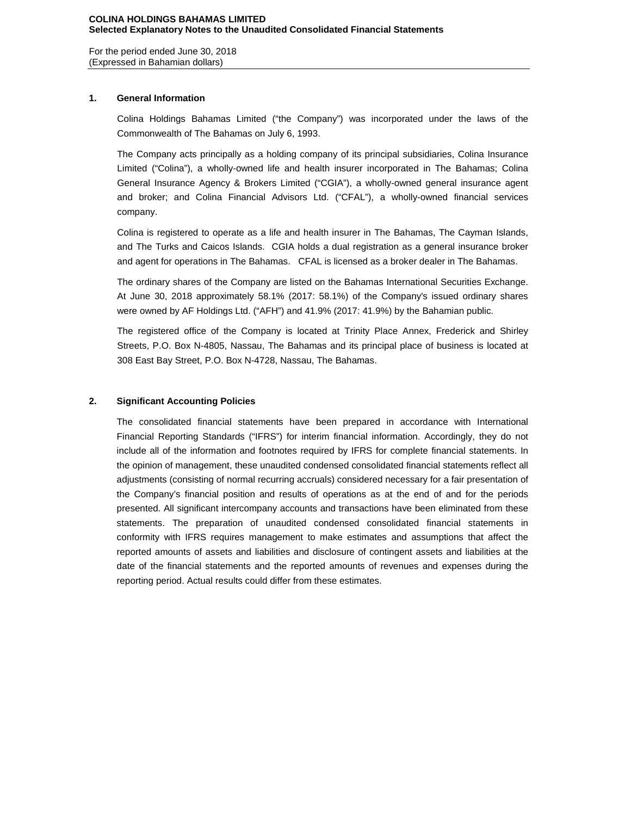For the period ended June 30, 2018 (Expressed in Bahamian dollars)

## **1. General Information**

Colina Holdings Bahamas Limited ("the Company") was incorporated under the laws of the Commonwealth of The Bahamas on July 6, 1993.

The Company acts principally as a holding company of its principal subsidiaries, Colina Insurance Limited ("Colina"), a wholly-owned life and health insurer incorporated in The Bahamas; Colina General Insurance Agency & Brokers Limited ("CGIA"), a wholly-owned general insurance agent and broker; and Colina Financial Advisors Ltd. ("CFAL"), a wholly-owned financial services company.

Colina is registered to operate as a life and health insurer in The Bahamas, The Cayman Islands, and The Turks and Caicos Islands. CGIA holds a dual registration as a general insurance broker and agent for operations in The Bahamas. CFAL is licensed as a broker dealer in The Bahamas.

The ordinary shares of the Company are listed on the Bahamas International Securities Exchange. At June 30, 2018 approximately 58.1% (2017: 58.1%) of the Company's issued ordinary shares were owned by AF Holdings Ltd. ("AFH") and 41.9% (2017: 41.9%) by the Bahamian public.

The registered office of the Company is located at Trinity Place Annex, Frederick and Shirley Streets, P.O. Box N-4805, Nassau, The Bahamas and its principal place of business is located at 308 East Bay Street, P.O. Box N-4728, Nassau, The Bahamas.

## **2. Significant Accounting Policies**

The consolidated financial statements have been prepared in accordance with International Financial Reporting Standards ("IFRS") for interim financial information. Accordingly, they do not include all of the information and footnotes required by IFRS for complete financial statements. In the opinion of management, these unaudited condensed consolidated financial statements reflect all adjustments (consisting of normal recurring accruals) considered necessary for a fair presentation of the Company's financial position and results of operations as at the end of and for the periods presented. All significant intercompany accounts and transactions have been eliminated from these statements. The preparation of unaudited condensed consolidated financial statements in conformity with IFRS requires management to make estimates and assumptions that affect the reported amounts of assets and liabilities and disclosure of contingent assets and liabilities at the date of the financial statements and the reported amounts of revenues and expenses during the reporting period. Actual results could differ from these estimates.